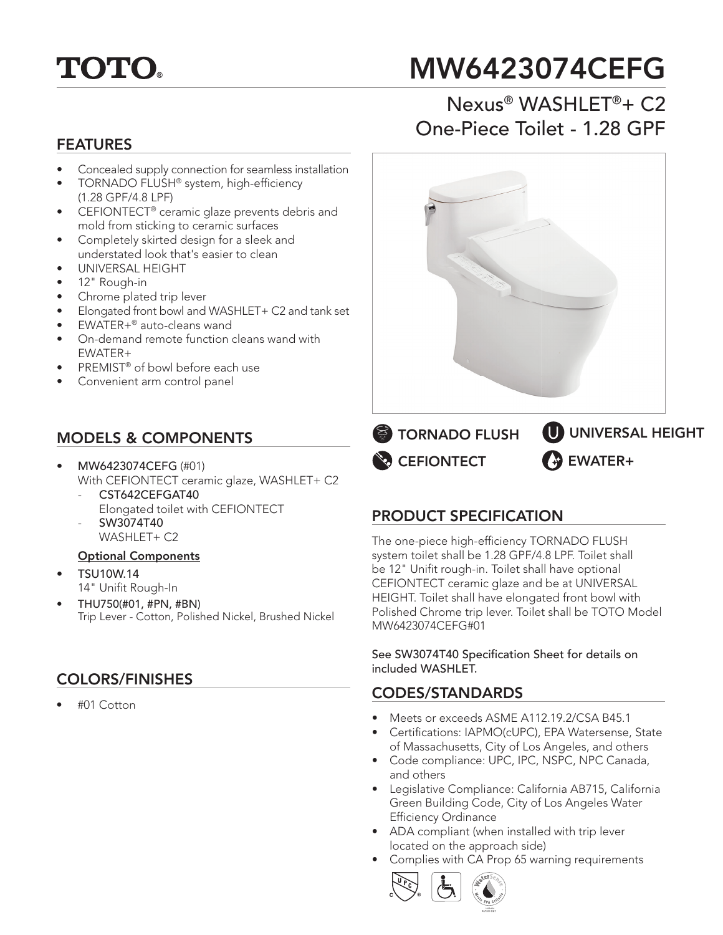

# MW6423074CEFG

# FEATURES

- Concealed supply connection for seamless installation
- TORNADO FLUSH® system, high-efficiency (1.28 GPF/4.8 LPF)
- CEFIONTECT® ceramic glaze prevents debris and mold from sticking to ceramic surfaces
- Completely skirted design for a sleek and understated look that's easier to clean
- UNIVERSAL HEIGHT
- 12" Rough-in
- Chrome plated trip lever
- Elongated front bowl and WASHLET+ C2 and tank set
- EWATER+® auto-cleans wand
- On-demand remote function cleans wand with EWATER+
- PREMIST® of bowl before each use
- Convenient arm control panel

#### MODELS & COMPONENTS

- MW6423074CEFG (#01) With CEFIONTECT ceramic glaze, WASHLET+ C2
	- CST642CEFGAT40 Elongated toilet with CEFIONTECT - SW3074T40
	- WASHI FT+ C2

#### Optional Components

- TSU10W.14 14" Unifit Rough-In
- THU750(#01, #PN, #BN) Trip Lever - Cotton, Polished Nickel, Brushed Nickel

### COLORS/FINISHES

• #01 Cotton





**EFIONTECT TORNADO FLUSH** 

# **EWATER+** UNIVERSAL HEIGHT

#### PRODUCT SPECIFICATION

The one-piece high-efficiency TORNADO FLUSH system toilet shall be 1.28 GPF/4.8 LPF. Toilet shall be 12" Unifit rough-in. Toilet shall have optional CEFIONTECT ceramic glaze and be at UNIVERSAL HEIGHT. Toilet shall have elongated front bowl with Polished Chrome trip lever. Toilet shall be TOTO Model MW6423074CEFG#01

See SW3074T40 Specification Sheet for details on included WASHLET.

#### CODES/STANDARDS

- Meets or exceeds ASME A112.19.2/CSA B45.1
- Certifications: IAPMO(cUPC), EPA Watersense, State of Massachusetts, City of Los Angeles, and others
- Code compliance: UPC, IPC, NSPC, NPC Canada, and others
- Legislative Compliance: California AB715, California Green Building Code, City of Los Angeles Water Efficiency Ordinance
- ADA compliant (when installed with trip lever located on the approach side)
- Complies with CA Prop 65 warning requirements